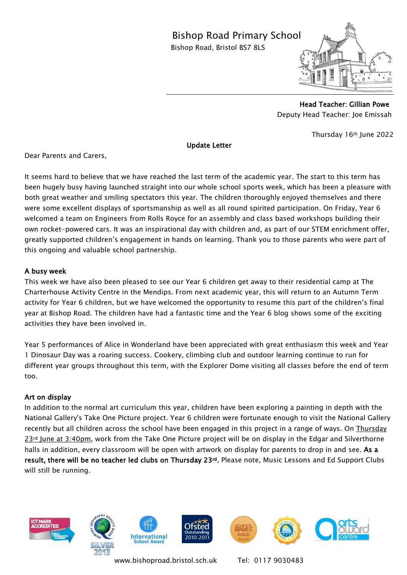## Bishop Road Primary School

Bishop Road, Bristol BS7 8LS



 Head Teacher: Gillian Powe Deputy Head Teacher: Joe Emissah

 $\overline{a}$ 

Thursday 16th June 2022

Update Letter

Dear Parents and Carers,

It seems hard to believe that we have reached the last term of the academic year. The start to this term has been hugely busy having launched straight into our whole school sports week, which has been a pleasure with both great weather and smiling spectators this year. The children thoroughly enjoyed themselves and there were some excellent displays of sportsmanship as well as all round spirited participation. On Friday, Year 6 welcomed a team on Engineers from Rolls Royce for an assembly and class based workshops building their own rocket-powered cars. It was an inspirational day with children and, as part of our STEM enrichment offer, greatly supported children's engagement in hands on learning. Thank you to those parents who were part of this ongoing and valuable school partnership.

## A busy week

This week we have also been pleased to see our Year 6 children get away to their residential camp at The Charterhouse Activity Centre in the Mendips. From next academic year, this will return to an Autumn Term activity for Year 6 children, but we have welcomed the opportunity to resume this part of the children's final year at Bishop Road. The children have had a fantastic time and the Year 6 blog shows some of the exciting activities they have been involved in.

Year 5 performances of Alice in Wonderland have been appreciated with great enthusiasm this week and Year 1 Dinosaur Day was a roaring success. Cookery, climbing club and outdoor learning continue to run for different year groups throughout this term, with the Explorer Dome visiting all classes before the end of term too.

## Art on display

In addition to the normal art curriculum this year, children have been exploring a painting in depth with the National Gallery's Take One Picture project. Year 6 children were fortunate enough to visit the National Gallery recently but all children across the school have been engaged in this project in a range of ways. On Thursday 23rd June at 3:40pm, work from the Take One Picture project will be on display in the Edgar and Silverthorne halls in addition, every classroom will be open with artwork on display for parents to drop in and see. As a result, there will be no teacher led clubs on Thursday 23rd. Please note, Music Lessons and Ed Support Clubs will still be running.



[www.bishoproad.bristol.sch.uk](http://www.bishoproad.bristol.sch.uk/) Tel: 0117 9030483